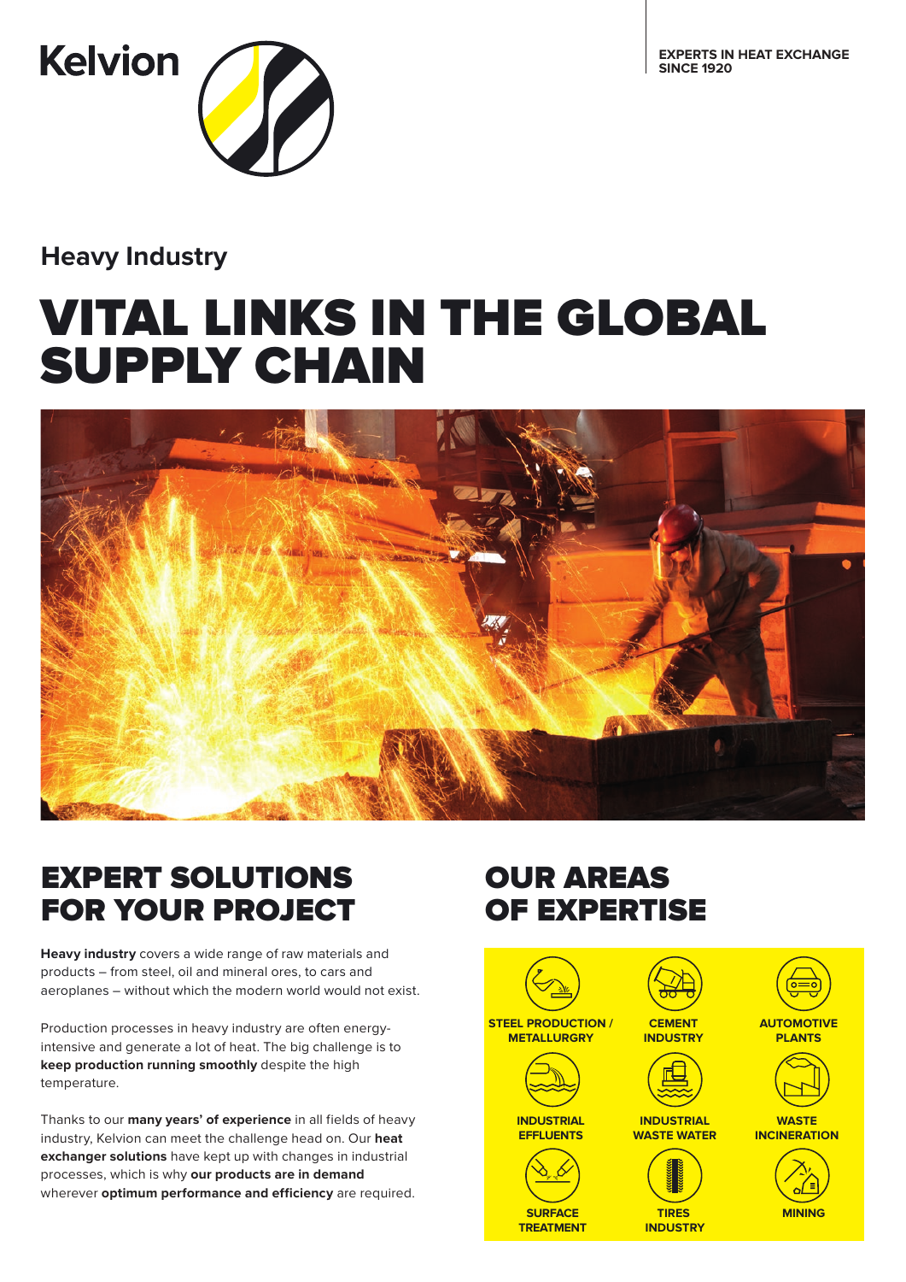**EXPERTS IN HEAT EXCHANGE SINCE 1920**



**Heavy Industry**

# VITAL LINKS IN THE GLOBAL SUPPLY CHAIN



## EXPERT SOLUTIONS FOR YOUR PROJECT

**Heavy industry** covers a wide range of raw materials and products – from steel, oil and mineral ores, to cars and aeroplanes – without which the modern world would not exist.

Production processes in heavy industry are often energyintensive and generate a lot of heat. The big challenge is to **keep production running smoothly** despite the high temperature.

Thanks to our **many years' of experience** in all fields of heavy industry, Kelvion can meet the challenge head on. Our **heat exchanger solutions** have kept up with changes in industrial processes, which is why **our products are in demand**  wherever **optimum performance and efficiency** are required.

# OUR AREAS OF EXPERTISE